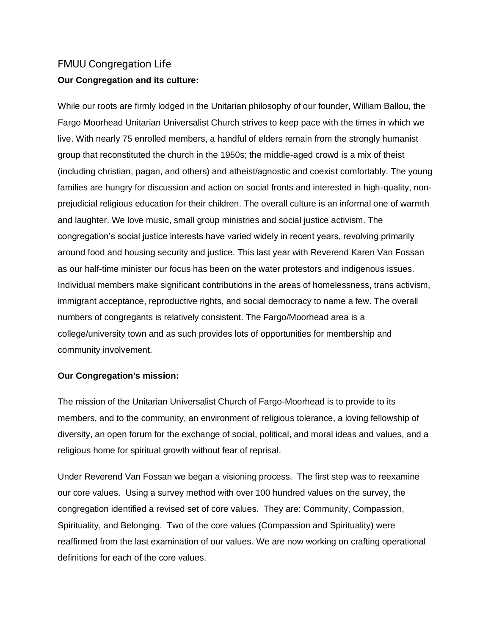# FMUU Congregation Life **Our Congregation and its culture:**

While our roots are firmly lodged in the Unitarian philosophy of our founder, William Ballou, the Fargo Moorhead Unitarian Universalist Church strives to keep pace with the times in which we live. With nearly 75 enrolled members, a handful of elders remain from the strongly humanist group that reconstituted the church in the 1950s; the middle-aged crowd is a mix of theist (including christian, pagan, and others) and atheist/agnostic and coexist comfortably. The young families are hungry for discussion and action on social fronts and interested in high-quality, nonprejudicial religious education for their children. The overall culture is an informal one of warmth and laughter. We love music, small group ministries and social justice activism. The congregation's social justice interests have varied widely in recent years, revolving primarily around food and housing security and justice. This last year with Reverend Karen Van Fossan as our half-time minister our focus has been on the water protestors and indigenous issues. Individual members make significant contributions in the areas of homelessness, trans activism, immigrant acceptance, reproductive rights, and social democracy to name a few. The overall numbers of congregants is relatively consistent. The Fargo/Moorhead area is a college/university town and as such provides lots of opportunities for membership and community involvement.

## **Our Congregation's mission:**

The mission of the Unitarian Universalist Church of Fargo-Moorhead is to provide to its members, and to the community, an environment of religious tolerance, a loving fellowship of diversity, an open forum for the exchange of social, political, and moral ideas and values, and a religious home for spiritual growth without fear of reprisal.

Under Reverend Van Fossan we began a visioning process. The first step was to reexamine our core values. Using a survey method with over 100 hundred values on the survey, the congregation identified a revised set of core values. They are: Community, Compassion, Spirituality, and Belonging. Two of the core values (Compassion and Spirituality) were reaffirmed from the last examination of our values. We are now working on crafting operational definitions for each of the core values.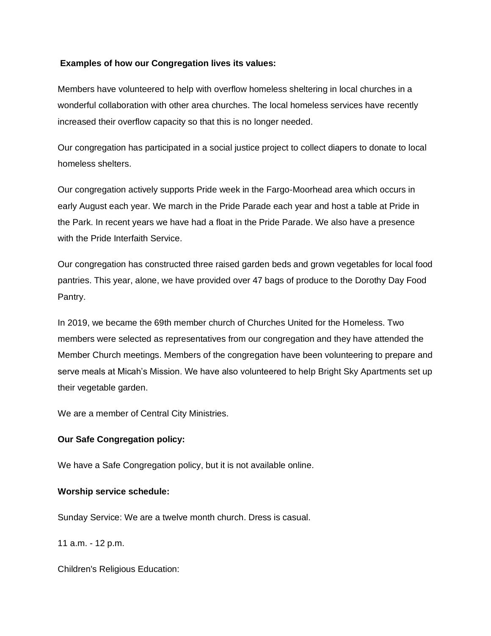#### **Examples of how our Congregation lives its values:**

Members have volunteered to help with overflow homeless sheltering in local churches in a wonderful collaboration with other area churches. The local homeless services have recently increased their overflow capacity so that this is no longer needed.

Our congregation has participated in a social justice project to collect diapers to donate to local homeless shelters.

Our congregation actively supports Pride week in the Fargo-Moorhead area which occurs in early August each year. We march in the Pride Parade each year and host a table at Pride in the Park. In recent years we have had a float in the Pride Parade. We also have a presence with the Pride Interfaith Service.

Our congregation has constructed three raised garden beds and grown vegetables for local food pantries. This year, alone, we have provided over 47 bags of produce to the Dorothy Day Food Pantry.

In 2019, we became the 69th member church of Churches United for the Homeless. Two members were selected as representatives from our congregation and they have attended the Member Church meetings. Members of the congregation have been volunteering to prepare and serve meals at Micah's Mission. We have also volunteered to help Bright Sky Apartments set up their vegetable garden.

We are a member of Central City Ministries.

## **Our Safe Congregation policy:**

We have a Safe Congregation policy, but it is not available online.

#### **Worship service schedule:**

Sunday Service: We are a twelve month church. Dress is casual.

11 a.m. - 12 p.m.

Children's Religious Education: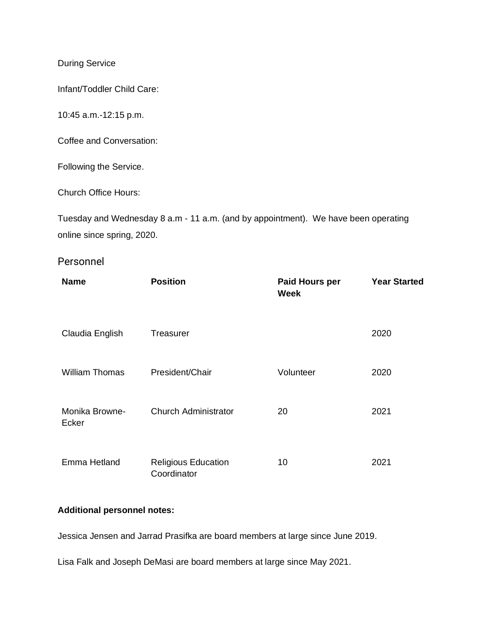During Service

Infant/Toddler Child Care:

10:45 a.m.-12:15 p.m.

Coffee and Conversation:

Following the Service.

Church Office Hours:

Tuesday and Wednesday 8 a.m - 11 a.m. (and by appointment). We have been operating online since spring, 2020.

## Personnel

| <b>Name</b>             | <b>Position</b>                           | Paid Hours per<br><b>Week</b> | <b>Year Started</b> |
|-------------------------|-------------------------------------------|-------------------------------|---------------------|
| Claudia English         | Treasurer                                 |                               | 2020                |
| <b>William Thomas</b>   | President/Chair                           | Volunteer                     | 2020                |
| Monika Browne-<br>Ecker | <b>Church Administrator</b>               | 20                            | 2021                |
| Emma Hetland            | <b>Religious Education</b><br>Coordinator | 10                            | 2021                |

## **Additional personnel notes:**

Jessica Jensen and Jarrad Prasifka are board members at large since June 2019.

Lisa Falk and Joseph DeMasi are board members at large since May 2021.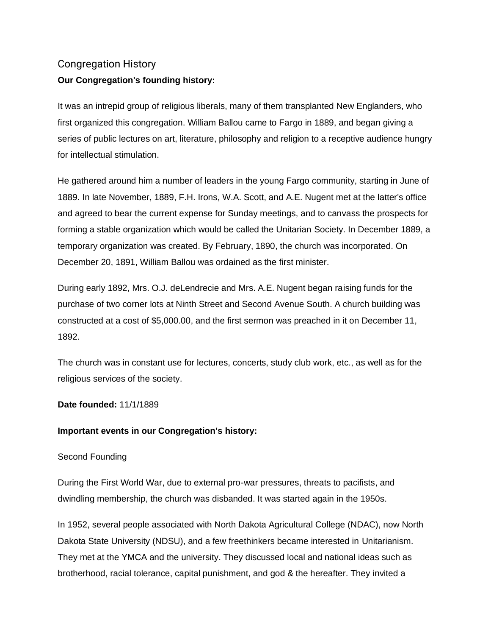# Congregation History **Our Congregation's founding history:**

It was an intrepid group of religious liberals, many of them transplanted New Englanders, who first organized this congregation. William Ballou came to Fargo in 1889, and began giving a series of public lectures on art, literature, philosophy and religion to a receptive audience hungry for intellectual stimulation.

He gathered around him a number of leaders in the young Fargo community, starting in June of 1889. In late November, 1889, F.H. Irons, W.A. Scott, and A.E. Nugent met at the latter's office and agreed to bear the current expense for Sunday meetings, and to canvass the prospects for forming a stable organization which would be called the Unitarian Society. In December 1889, a temporary organization was created. By February, 1890, the church was incorporated. On December 20, 1891, William Ballou was ordained as the first minister.

During early 1892, Mrs. O.J. deLendrecie and Mrs. A.E. Nugent began raising funds for the purchase of two corner lots at Ninth Street and Second Avenue South. A church building was constructed at a cost of \$5,000.00, and the first sermon was preached in it on December 11, 1892.

The church was in constant use for lectures, concerts, study club work, etc., as well as for the religious services of the society.

**Date founded:** 11/1/1889

## **Important events in our Congregation's history:**

## Second Founding

During the First World War, due to external pro-war pressures, threats to pacifists, and dwindling membership, the church was disbanded. It was started again in the 1950s.

In 1952, several people associated with North Dakota Agricultural College (NDAC), now North Dakota State University (NDSU), and a few freethinkers became interested in Unitarianism. They met at the YMCA and the university. They discussed local and national ideas such as brotherhood, racial tolerance, capital punishment, and god & the hereafter. They invited a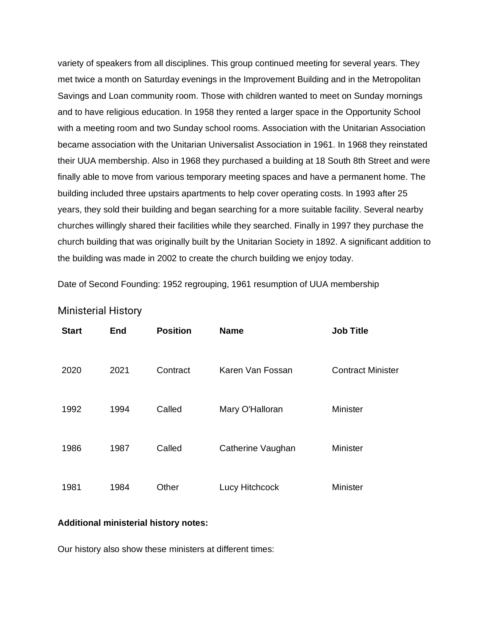variety of speakers from all disciplines. This group continued meeting for several years. They met twice a month on Saturday evenings in the Improvement Building and in the Metropolitan Savings and Loan community room. Those with children wanted to meet on Sunday mornings and to have religious education. In 1958 they rented a larger space in the Opportunity School with a meeting room and two Sunday school rooms. Association with the Unitarian Association became association with the Unitarian Universalist Association in 1961. In 1968 they reinstated their UUA membership. Also in 1968 they purchased a building at 18 South 8th Street and were finally able to move from various temporary meeting spaces and have a permanent home. The building included three upstairs apartments to help cover operating costs. In 1993 after 25 years, they sold their building and began searching for a more suitable facility. Several nearby churches willingly shared their facilities while they searched. Finally in 1997 they purchase the church building that was originally built by the Unitarian Society in 1892. A significant addition to the building was made in 2002 to create the church building we enjoy today.

Date of Second Founding: 1952 regrouping, 1961 resumption of UUA membership

| <b>Start</b> | End  | <b>Position</b> | <b>Name</b>       | <b>Job Title</b>         |
|--------------|------|-----------------|-------------------|--------------------------|
| 2020         | 2021 | Contract        | Karen Van Fossan  | <b>Contract Minister</b> |
| 1992         | 1994 | Called          | Mary O'Halloran   | Minister                 |
| 1986         | 1987 | Called          | Catherine Vaughan | Minister                 |
| 1981         | 1984 | Other           | Lucy Hitchcock    | Minister                 |

Ministerial History

#### **Additional ministerial history notes:**

Our history also show these ministers at different times: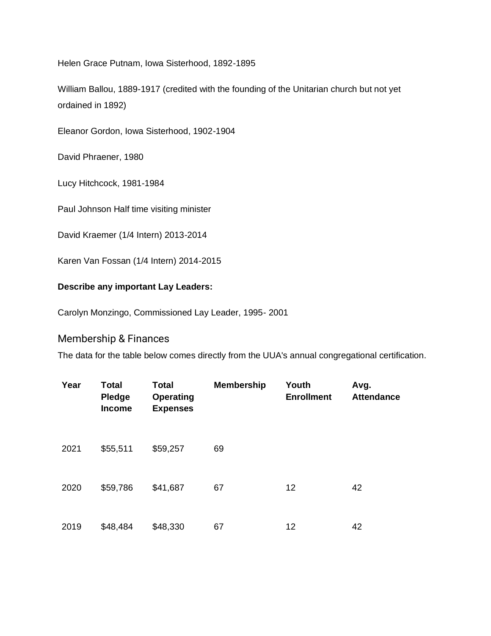Helen Grace Putnam, Iowa Sisterhood, 1892-1895

William Ballou, 1889-1917 (credited with the founding of the Unitarian church but not yet ordained in 1892)

Eleanor Gordon, Iowa Sisterhood, 1902-1904

David Phraener, 1980

Lucy Hitchcock, 1981-1984

Paul Johnson Half time visiting minister

David Kraemer (1/4 Intern) 2013-2014

Karen Van Fossan (1/4 Intern) 2014-2015

## **Describe any important Lay Leaders:**

Carolyn Monzingo, Commissioned Lay Leader, 1995- 2001

## Membership & Finances

The data for the table below comes directly from the UUA's annual congregational certification.

| Year | <b>Total</b><br>Pledge<br><b>Income</b> | <b>Total</b><br><b>Operating</b><br><b>Expenses</b> | <b>Membership</b> | Youth<br><b>Enrollment</b> | Avg.<br><b>Attendance</b> |
|------|-----------------------------------------|-----------------------------------------------------|-------------------|----------------------------|---------------------------|
| 2021 | \$55,511                                | \$59,257                                            | 69                |                            |                           |
| 2020 | \$59,786                                | \$41,687                                            | 67                | 12                         | 42                        |
| 2019 | \$48,484                                | \$48,330                                            | 67                | 12                         | 42                        |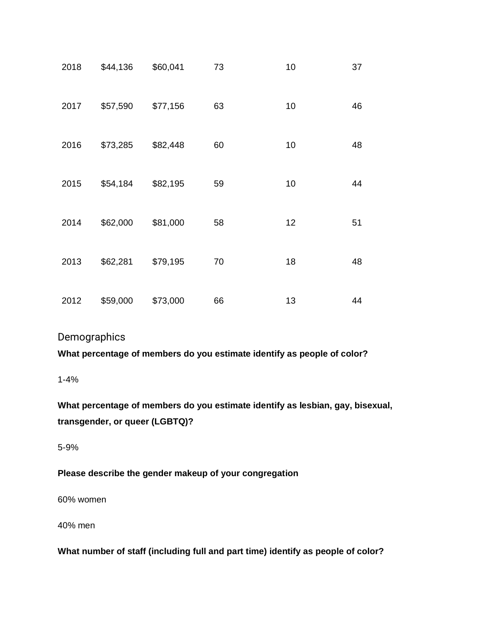| 2018 | \$44,136 | \$60,041 | 73 | 10 | 37 |
|------|----------|----------|----|----|----|
| 2017 | \$57,590 | \$77,156 | 63 | 10 | 46 |
| 2016 | \$73,285 | \$82,448 | 60 | 10 | 48 |
| 2015 | \$54,184 | \$82,195 | 59 | 10 | 44 |
| 2014 | \$62,000 | \$81,000 | 58 | 12 | 51 |
| 2013 | \$62,281 | \$79,195 | 70 | 18 | 48 |
| 2012 | \$59,000 | \$73,000 | 66 | 13 | 44 |

## **Demographics**

**What percentage of members do you estimate identify as people of color?**

1-4%

**What percentage of members do you estimate identify as lesbian, gay, bisexual, transgender, or queer (LGBTQ)?**

5-9%

## **Please describe the gender makeup of your congregation**

60% women

40% men

**What number of staff (including full and part time) identify as people of color?**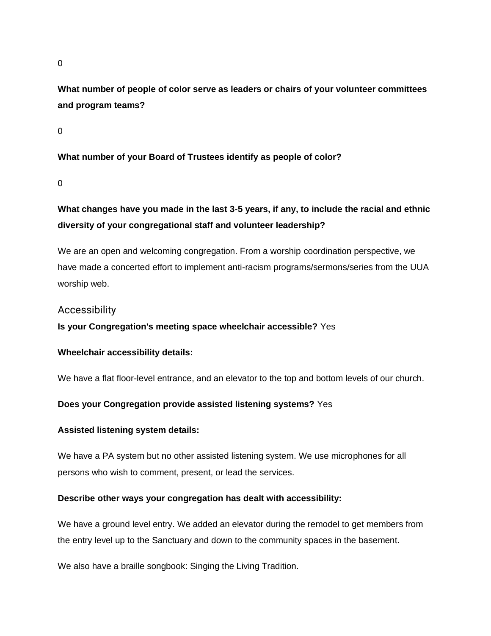0

**What number of people of color serve as leaders or chairs of your volunteer committees and program teams?**

 $\Omega$ 

**What number of your Board of Trustees identify as people of color?**

 $\Omega$ 

# **What changes have you made in the last 3-5 years, if any, to include the racial and ethnic diversity of your congregational staff and volunteer leadership?**

We are an open and welcoming congregation. From a worship coordination perspective, we have made a concerted effort to implement anti-racism programs/sermons/series from the UUA worship web.

## Accessibility

**Is your Congregation's meeting space wheelchair accessible?** Yes

## **Wheelchair accessibility details:**

We have a flat floor-level entrance, and an elevator to the top and bottom levels of our church.

#### **Does your Congregation provide assisted listening systems?** Yes

#### **Assisted listening system details:**

We have a PA system but no other assisted listening system. We use microphones for all persons who wish to comment, present, or lead the services.

#### **Describe other ways your congregation has dealt with accessibility:**

We have a ground level entry. We added an elevator during the remodel to get members from the entry level up to the Sanctuary and down to the community spaces in the basement.

We also have a braille songbook: Singing the Living Tradition.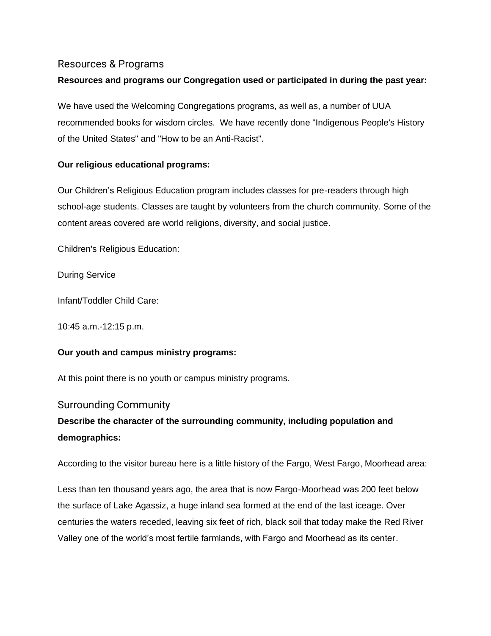## Resources & Programs

## **Resources and programs our Congregation used or participated in during the past year:**

We have used the Welcoming Congregations programs, as well as, a number of UUA recommended books for wisdom circles. We have recently done "Indigenous People's History of the United States" and "How to be an Anti-Racist".

## **Our religious educational programs:**

Our Children's Religious Education program includes classes for pre-readers through high school-age students. Classes are taught by volunteers from the church community. Some of the content areas covered are world religions, diversity, and social justice.

Children's Religious Education:

During Service

Infant/Toddler Child Care:

10:45 a.m.-12:15 p.m.

## **Our youth and campus ministry programs:**

At this point there is no youth or campus ministry programs.

## Surrounding Community

# **Describe the character of the surrounding community, including population and demographics:**

According to the visitor bureau here is a little history of the Fargo, West Fargo, Moorhead area:

Less than ten thousand years ago, the area that is now Fargo-Moorhead was 200 feet below the surface of Lake Agassiz, a huge inland sea formed at the end of the last iceage. Over centuries the waters receded, leaving six feet of rich, black soil that today make the Red River Valley one of the world's most fertile farmlands, with Fargo and Moorhead as its center.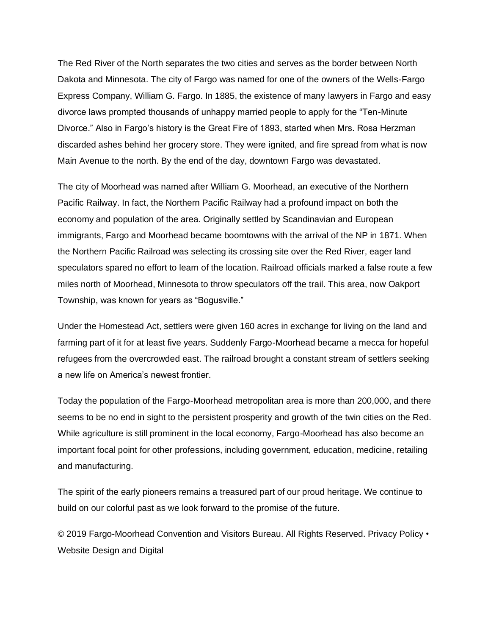The Red River of the North separates the two cities and serves as the border between North Dakota and Minnesota. The city of Fargo was named for one of the owners of the Wells-Fargo Express Company, William G. Fargo. In 1885, the existence of many lawyers in Fargo and easy divorce laws prompted thousands of unhappy married people to apply for the "Ten-Minute Divorce." Also in Fargo's history is the Great Fire of 1893, started when Mrs. Rosa Herzman discarded ashes behind her grocery store. They were ignited, and fire spread from what is now Main Avenue to the north. By the end of the day, downtown Fargo was devastated.

The city of Moorhead was named after William G. Moorhead, an executive of the Northern Pacific Railway. In fact, the Northern Pacific Railway had a profound impact on both the economy and population of the area. Originally settled by Scandinavian and European immigrants, Fargo and Moorhead became boomtowns with the arrival of the NP in 1871. When the Northern Pacific Railroad was selecting its crossing site over the Red River, eager land speculators spared no effort to learn of the location. Railroad officials marked a false route a few miles north of Moorhead, Minnesota to throw speculators off the trail. This area, now Oakport Township, was known for years as "Bogusville."

Under the Homestead Act, settlers were given 160 acres in exchange for living on the land and farming part of it for at least five years. Suddenly Fargo-Moorhead became a mecca for hopeful refugees from the overcrowded east. The railroad brought a constant stream of settlers seeking a new life on America's newest frontier.

Today the population of the Fargo-Moorhead metropolitan area is more than 200,000, and there seems to be no end in sight to the persistent prosperity and growth of the twin cities on the Red. While agriculture is still prominent in the local economy, Fargo-Moorhead has also become an important focal point for other professions, including government, education, medicine, retailing and manufacturing.

The spirit of the early pioneers remains a treasured part of our proud heritage. We continue to build on our colorful past as we look forward to the promise of the future.

© 2019 Fargo-Moorhead Convention and Visitors Bureau. All Rights Reserved. Privacy Policy • Website Design and Digital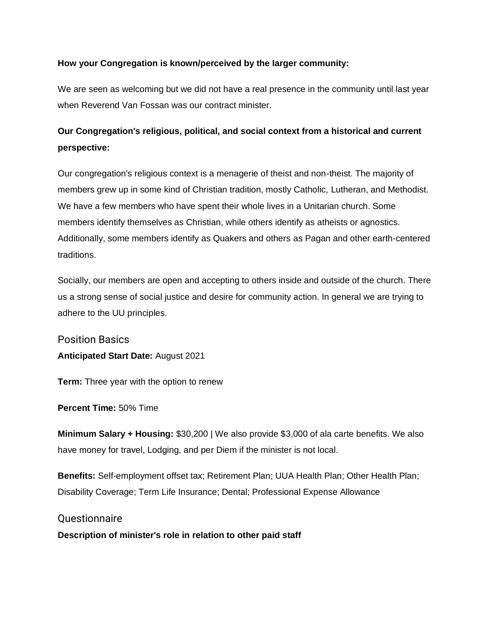## **How your Congregation is known/perceived by the larger community:**

We are seen as welcoming but we did not have a real presence in the community until last year when Reverend Van Fossan was our contract minister.

# **Our Congregation's religious, political, and social context from a historical and current perspective:**

Our congregation's religious context is a menagerie of theist and non-theist. The majority of members grew up in some kind of Christian tradition, mostly Catholic, Lutheran, and Methodist. We have a few members who have spent their whole lives in a Unitarian church. Some members identify themselves as Christian, while others identify as atheists or agnostics. Additionally, some members identify as Quakers and others as Pagan and other earth-centered traditions.

Socially, our members are open and accepting to others inside and outside of the church. There us a strong sense of social justice and desire for community action. In general we are trying to adhere to the UU principles.

Position Basics **Anticipated Start Date:** August 2021

**Term:** Three year with the option to renew

**Percent Time:** 50% Time

**Minimum Salary + Housing:** \$30,200 | We also provide \$3,000 of ala carte benefits. We also have money for travel, Lodging, and per Diem if the minister is not local.

**Benefits:** Self-employment offset tax; Retirement Plan; UUA Health Plan; Other Health Plan; Disability Coverage; Term Life Insurance; Dental; Professional Expense Allowance

## **Ouestionnaire**

**Description of minister's role in relation to other paid staff**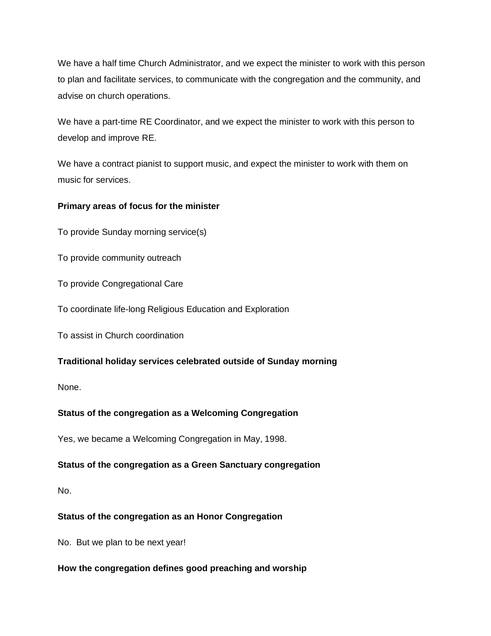We have a half time Church Administrator, and we expect the minister to work with this person to plan and facilitate services, to communicate with the congregation and the community, and advise on church operations.

We have a part-time RE Coordinator, and we expect the minister to work with this person to develop and improve RE.

We have a contract pianist to support music, and expect the minister to work with them on music for services.

## **Primary areas of focus for the minister**

To provide Sunday morning service(s)

To provide community outreach

To provide Congregational Care

To coordinate life-long Religious Education and Exploration

To assist in Church coordination

## **Traditional holiday services celebrated outside of Sunday morning**

None.

## **Status of the congregation as a Welcoming Congregation**

Yes, we became a Welcoming Congregation in May, 1998.

## **Status of the congregation as a Green Sanctuary congregation**

No.

## **Status of the congregation as an Honor Congregation**

No. But we plan to be next year!

## **How the congregation defines good preaching and worship**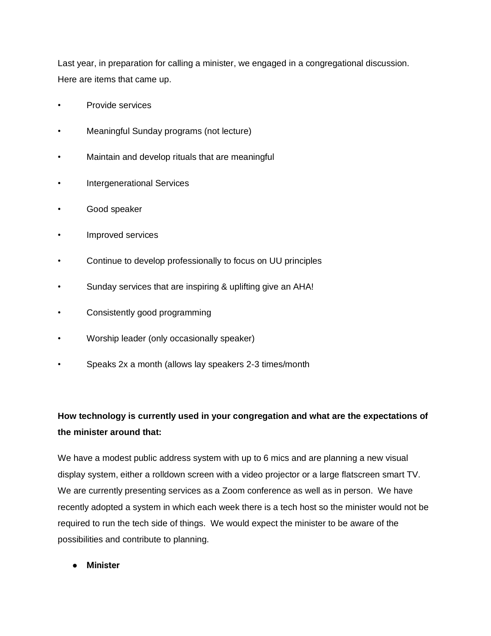Last year, in preparation for calling a minister, we engaged in a congregational discussion. Here are items that came up.

- Provide services
- Meaningful Sunday programs (not lecture)
- Maintain and develop rituals that are meaningful
- Intergenerational Services
- Good speaker
- Improved services
- Continue to develop professionally to focus on UU principles
- Sunday services that are inspiring & uplifting give an AHA!
- Consistently good programming
- Worship leader (only occasionally speaker)
- Speaks 2x a month (allows lay speakers 2-3 times/month

# **How technology is currently used in your congregation and what are the expectations of the minister around that:**

We have a modest public address system with up to 6 mics and are planning a new visual display system, either a rolldown screen with a video projector or a large flatscreen smart TV. We are currently presenting services as a Zoom conference as well as in person. We have recently adopted a system in which each week there is a tech host so the minister would not be required to run the tech side of things. We would expect the minister to be aware of the possibilities and contribute to planning.

● **Minister**